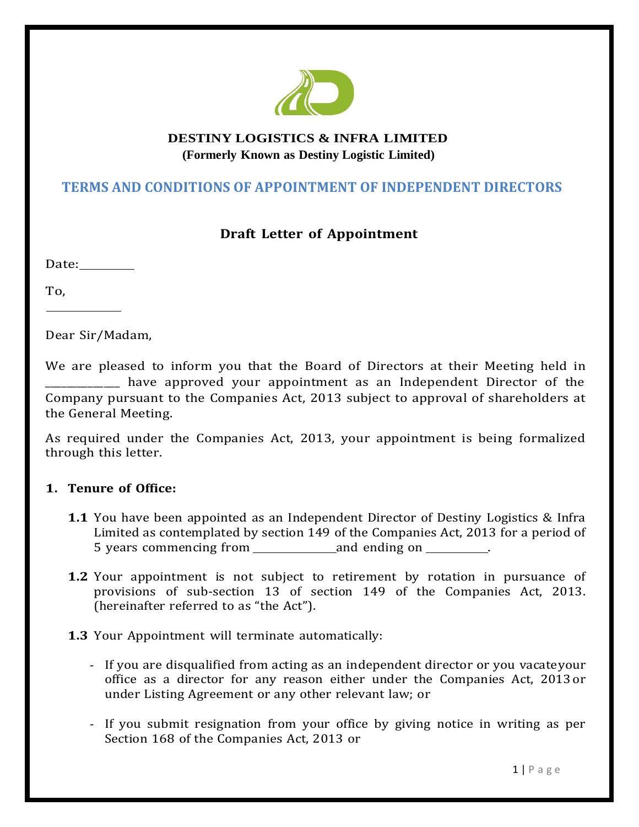

# **DESTINY LOGISTICS & INFRA LIMITED (Formerly Known as Destiny Logistic Limited)**

# **TERMS AND CONDITIONS OF APPOINTMENT OF INDEPENDENT DIRECTORS**

# **Draft Letter of Appointment**

Date:

To,

Dear Sir/Madam,

We are pleased to inform you that the Board of Directors at their Meeting held in have approved your appointment as an Independent Director of the Company pursuant to the Companies Act, 2013 subject to approval of shareholders at the General Meeting.

As required under the Companies Act, 2013, your appointment is being formalized through this letter.

## **1. Tenure of Office:**

- **1.1** You have been appointed as an Independent Director of Destiny Logistics & Infra Limited as contemplated by section 149 of the Companies Act, 2013 for a period of 5 years commencing from and ending on  $\blacksquare$
- **1.2** Your appointment is not subject to retirement by rotation in pursuance of provisions of sub-section 13 of section 149 of the Companies Act, 2013. (hereinafter referred to as "the Act").
- **1.3** Your Appointment will terminate automatically:
	- If you are disqualified from acting as an independent director or you vacateyour office as a director for any reason either under the Companies Act, 2013 or under Listing Agreement or any other relevant law; or
	- If you submit resignation from your office by giving notice in writing as per Section 168 of the Companies Act, 2013 or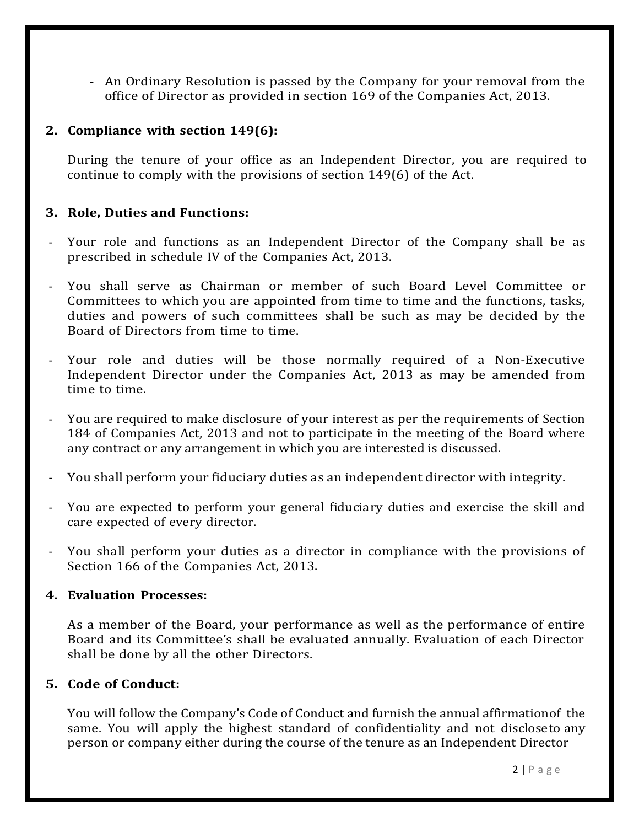- An Ordinary Resolution is passed by the Company for your removal from the office of Director as provided in section 169 of the Companies Act, 2013.

#### **2. Compliance with section 149(6):**

During the tenure of your office as an Independent Director, you are required to continue to comply with the provisions of section 149(6) of the Act.

#### **3. Role, Duties and Functions:**

- Your role and functions as an Independent Director of the Company shall be as prescribed in schedule IV of the Companies Act, 2013.
- You shall serve as Chairman or member of such Board Level Committee or Committees to which you are appointed from time to time and the functions, tasks, duties and powers of such committees shall be such as may be decided by the Board of Directors from time to time.
- Your role and duties will be those normally required of a Non-Executive Independent Director under the Companies Act, 2013 as may be amended from time to time.
- You are required to make disclosure of your interest as per the requirements of Section 184 of Companies Act, 2013 and not to participate in the meeting of the Board where any contract or any arrangement in which you are interested is discussed.
- You shall perform your fiduciary duties as an independent director with integrity.
- You are expected to perform your general fiduciary duties and exercise the skill and care expected of every director.
- You shall perform your duties as a director in compliance with the provisions of Section 166 of the Companies Act, 2013.

#### **4. Evaluation Processes:**

As a member of the Board, your performance as well as the performance of entire Board and its Committee's shall be evaluated annually. Evaluation of each Director shall be done by all the other Directors.

## **5. Code of Conduct:**

You will follow the Company's Code of Conduct and furnish the annual affirmationof the same. You will apply the highest standard of confidentiality and not discloseto any person or company either during the course of the tenure as an Independent Director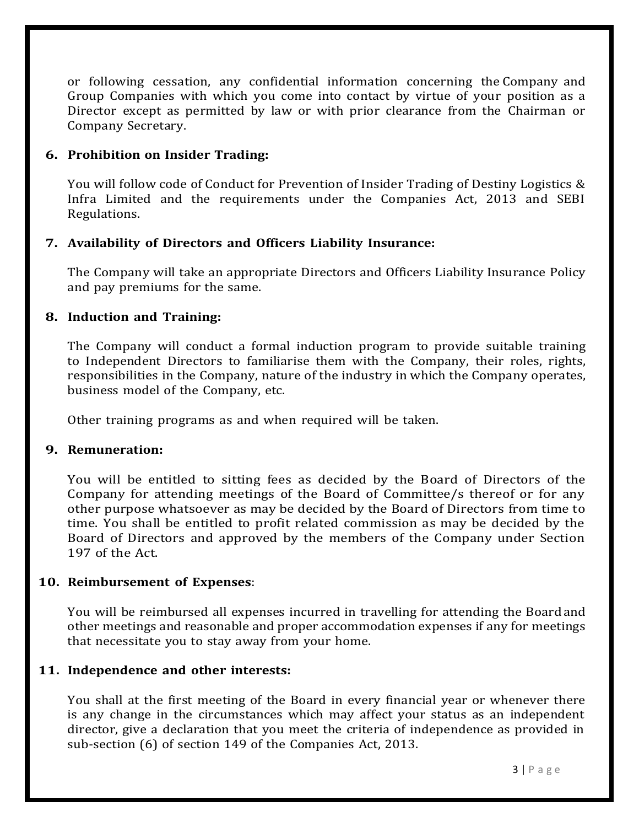or following cessation, any confidential information concerning the Company and Group Companies with which you come into contact by virtue of your position as a Director except as permitted by law or with prior clearance from the Chairman or Company Secretary.

### **6. Prohibition on Insider Trading:**

You will follow code of Conduct for Prevention of Insider Trading of Destiny Logistics & Infra Limited and the requirements under the Companies Act, 2013 and SEBI Regulations.

#### **7. Availability of Directors and Officers Liability Insurance:**

The Company will take an appropriate Directors and Officers Liability Insurance Policy and pay premiums for the same.

#### **8. Induction and Training:**

The Company will conduct a formal induction program to provide suitable training to Independent Directors to familiarise them with the Company, their roles, rights, responsibilities in the Company, nature of the industry in which the Company operates, business model of the Company, etc.

Other training programs as and when required will be taken.

#### **9. Remuneration:**

You will be entitled to sitting fees as decided by the Board of Directors of the Company for attending meetings of the Board of Committee/s thereof or for any other purpose whatsoever as may be decided by the Board of Directors from time to time. You shall be entitled to profit related commission as may be decided by the Board of Directors and approved by the members of the Company under Section 197 of the Act.

#### **10. Reimbursement of Expenses**:

You will be reimbursed all expenses incurred in travelling for attending the Board and other meetings and reasonable and proper accommodation expenses if any for meetings that necessitate you to stay away from your home.

#### **11. Independence and other interests:**

You shall at the first meeting of the Board in every financial year or whenever there is any change in the circumstances which may affect your status as an independent director, give a declaration that you meet the criteria of independence as provided in sub-section (6) of section 149 of the Companies Act, 2013.